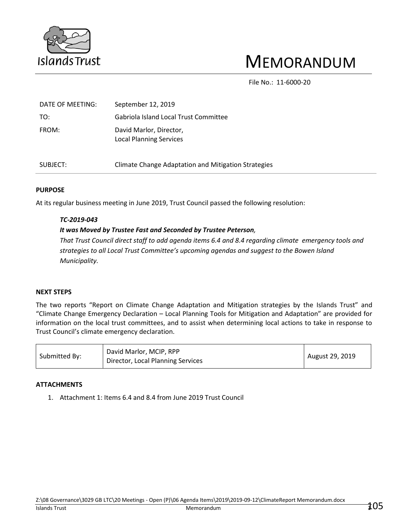

# MEMORANDUM

File No.: 11-6000-20

| DATE OF MEETING: | September 12, 2019                                        |
|------------------|-----------------------------------------------------------|
| TO:              | Gabriola Island Local Trust Committee                     |
| FROM:            | David Marlor, Director,<br><b>Local Planning Services</b> |
| SUBJECT:         | Climate Change Adaptation and Mitigation Strategies       |

#### **PURPOSE**

At its regular business meeting in June 2019, Trust Council passed the following resolution:

#### *TC-2019-043*

#### *It was Moved by Trustee Fast and Seconded by Trustee Peterson,*

*That Trust Council direct staff to add agenda items 6.4 and 8.4 regarding climate emergency tools and strategies to all Local Trust Committee's upcoming agendas and suggest to the Bowen Island Municipality.*

#### **NEXT STEPS**

The two reports "Report on Climate Change Adaptation and Mitigation strategies by the Islands Trust" and "Climate Change Emergency Declaration – Local Planning Tools for Mitigation and Adaptation" are provided for information on the local trust committees, and to assist when determining local actions to take in response to Trust Council's climate emergency declaration.

#### **ATTACHMENTS**

1. Attachment 1: Items 6.4 and 8.4 from June 2019 Trust Council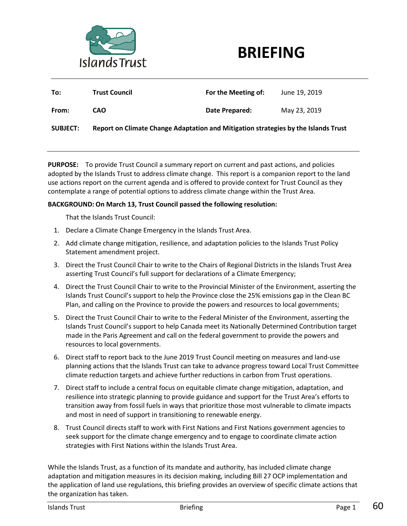



| To:             | <b>Trust Council</b>                                                               | For the Meeting of: | June 19, 2019 |  |  |  |
|-----------------|------------------------------------------------------------------------------------|---------------------|---------------|--|--|--|
| From:           | CAO                                                                                | Date Prepared:      | May 23, 2019  |  |  |  |
| <b>SUBJECT:</b> | Report on Climate Change Adaptation and Mitigation strategies by the Islands Trust |                     |               |  |  |  |

**PURPOSE:** To provide Trust Council a summary report on current and past actions, and policies adopted by the Islands Trust to address climate change. This report is a companion report to the land use actions report on the current agenda and is offered to provide context for Trust Council as they contemplate a range of potential options to address climate change within the Trust Area.

#### **BACKGROUND: On March 13, Trust Council passed the following resolution:**

That the Islands Trust Council:

- 1. Declare a Climate Change Emergency in the Islands Trust Area.
- 2. Add climate change mitigation, resilience, and adaptation policies to the Islands Trust Policy Statement amendment project.
- 3. Direct the Trust Council Chair to write to the Chairs of Regional Districts in the Islands Trust Area asserting Trust Council's full support for declarations of a Climate Emergency;
- 4. Direct the Trust Council Chair to write to the Provincial Minister of the Environment, asserting the Islands Trust Council's support to help the Province close the 25% emissions gap in the Clean BC Plan, and calling on the Province to provide the powers and resources to local governments;
- 5. Direct the Trust Council Chair to write to the Federal Minister of the Environment, asserting the Islands Trust Council's support to help Canada meet its Nationally Determined Contribution target made in the Paris Agreement and call on the federal government to provide the powers and resources to local governments.
- 6. Direct staff to report back to the June 2019 Trust Council meeting on measures and land-use planning actions that the Islands Trust can take to advance progress toward Local Trust Committee climate reduction targets and achieve further reductions in carbon from Trust operations.
- 7. Direct staff to include a central focus on equitable climate change mitigation, adaptation, and resilience into strategic planning to provide guidance and support for the Trust Area's efforts to transition away from fossil fuels in ways that prioritize those most vulnerable to climate impacts and most in need of support in transitioning to renewable energy.
- 8. Trust Council directs staff to work with First Nations and First Nations government agencies to seek support for the climate change emergency and to engage to coordinate climate action strategies with First Nations within the Islands Trust Area.

While the Islands Trust, as a function of its mandate and authority, has included climate change adaptation and mitigation measures in its decision making, including Bill 27 OCP implementation and the application of land use regulations, this briefing provides an overview of specific climate actions that the organization has taken.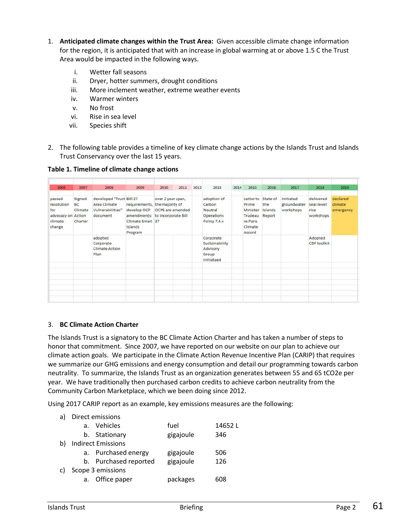- 1. **Anticipated climate changes within the Trust Area:** Given accessible climate change information for the region, it is anticipated that with an increase in global warming at or above 1.5 C the Trust Area would be impacted in the following ways.
	- i. Wetter fall seasons
	- ii. Dryer, hotter summers, drought conditions
	- iii. More inclement weather, extreme weather events
	- iv. Warmer winters
	- v. No frost
	- vi. Rise in sea level
	- vii. Species shift
- 2. The following table provides a timeline of key climate change actions by the Islands Trust and Islands Trust Conservancy over the last 15 years.

**Table 1. Timeline of climate change actions**

| 2005                                                            | 2007                                                | 2008                                                                     | 2009                                                                                                                      | 2010              | 2011                    | 2012 | 2013                                                                  | 2014 | 2015                                                                       | 2016                                 | 2017                                  | 2018                                         | 2019                             |
|-----------------------------------------------------------------|-----------------------------------------------------|--------------------------------------------------------------------------|---------------------------------------------------------------------------------------------------------------------------|-------------------|-------------------------|------|-----------------------------------------------------------------------|------|----------------------------------------------------------------------------|--------------------------------------|---------------------------------------|----------------------------------------------|----------------------------------|
| passed<br>resolution<br>for<br>advocacy on<br>climate<br>change | Signed<br><b>BC</b><br>Climate<br>Action<br>Charter | developed "Trust Bill 27<br>Area Climate<br>Vulnerabilities"<br>document | requirements, the majority of<br>develop OCP<br>amendments: to incorporate Bill<br>Climate Smart 27<br>Islands<br>Program | over 2 year span, | <b>OCPS</b> are amended |      | adoption of<br>Carbon<br><b>Neutral</b><br>Operations<br>Policy 7.4.y |      | Letter to<br>Prime<br>Minister<br>Trudeau<br>re Paris<br>Climate<br>Accord | State of<br>the<br>Islands<br>Report | initiated<br>groundwater<br>workshops | delivered<br>seal level<br>rise<br>workshops | declared<br>climate<br>emergency |
|                                                                 |                                                     | adopted<br>Corporate<br><b>Climate Action</b><br>Plan                    |                                                                                                                           |                   |                         |      | Corporate<br>Sustainability<br>Advisory<br>Group<br>initiataed        |      |                                                                            |                                      |                                       | Adopted<br><b>CDF</b> toolkit                |                                  |
|                                                                 |                                                     |                                                                          |                                                                                                                           |                   |                         |      |                                                                       |      |                                                                            |                                      |                                       |                                              |                                  |
|                                                                 |                                                     |                                                                          |                                                                                                                           |                   |                         |      |                                                                       |      |                                                                            |                                      |                                       |                                              |                                  |
|                                                                 |                                                     |                                                                          |                                                                                                                           |                   |                         |      |                                                                       |      |                                                                            |                                      |                                       |                                              |                                  |
|                                                                 |                                                     |                                                                          |                                                                                                                           |                   |                         |      |                                                                       |      |                                                                            |                                      |                                       |                                              |                                  |

#### 3. **BC Climate Action Charter**

The Islands Trust is a signatory to the BC Climate Action Charter and has taken a number of steps to honor that commitment. Since 2007, we have reported on our website on our plan to achieve our climate action goals. We participate in the Climate Action Revenue Incentive Plan (CARIP) that requires we summarize our GHG emissions and energy consumption and detail our programming towards carbon neutrality. To summarize, the Islands Trust as an organization generates between 55 and 65 tCO2e per year. We have traditionally then purchased carbon credits to achieve carbon neutrality from the Community Carbon Marketplace, which we been doing since 2012.

Using 2017 CARIP report as an example, key emissions measures are the following:

|    |    | Direct emissions          |           |        |
|----|----|---------------------------|-----------|--------|
|    |    | a. Vehicles               | fuel      | 14652L |
|    |    | b. Stationary             | gigajoule | 346    |
| b) |    | <b>Indirect Emissions</b> |           |        |
|    |    | a. Purchased energy       | gigajoule | 506    |
|    |    | b. Purchased reported     | gigajoule | 126    |
| C) |    | Scope 3 emissions         |           |        |
|    | a. | Office paper              | packages  | 608.   |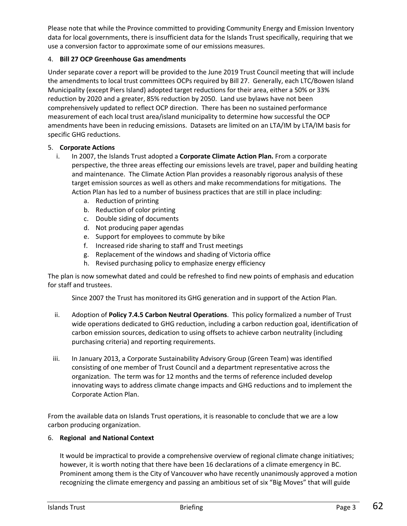Please note that while the Province committed to providing Community Energy and Emission Inventory data for local governments, there is insufficient data for the Islands Trust specifically, requiring that we use a conversion factor to approximate some of our emissions measures.

## 4. **Bill 27 OCP Greenhouse Gas amendments**

Under separate cover a report will be provided to the June 2019 Trust Council meeting that will include the amendments to local trust committees OCPs required by Bill 27. Generally, each LTC/Bowen Island Municipality (except Piers Island) adopted target reductions for their area, either a 50% or 33% reduction by 2020 and a greater, 85% reduction by 2050. Land use bylaws have not been comprehensively updated to reflect OCP direction. There has been no sustained performance measurement of each local trust area/island municipality to determine how successful the OCP amendments have been in reducing emissions. Datasets are limited on an LTA/IM by LTA/IM basis for specific GHG reductions.

#### 5. **Corporate Actions**

- i. In 2007, the Islands Trust adopted a **Corporate Climate Action Plan.** From a corporate perspective, the three areas effecting our emissions levels are travel, paper and building heating and maintenance. The Climate Action Plan provides a reasonably rigorous analysis of these target emission sources as well as others and make recommendations for mitigations. The Action Plan has led to a number of business practices that are still in place including:
	- a. Reduction of printing
	- b. Reduction of color printing
	- c. Double siding of documents
	- d. Not producing paper agendas
	- e. Support for employees to commute by bike
	- f. Increased ride sharing to staff and Trust meetings
	- g. Replacement of the windows and shading of Victoria office
	- h. Revised purchasing policy to emphasize energy efficiency

The plan is now somewhat dated and could be refreshed to find new points of emphasis and education for staff and trustees.

Since 2007 the Trust has monitored its GHG generation and in support of the Action Plan.

- ii. Adoption of **Policy 7.4.5 Carbon Neutral Operations**. This policy formalized a number of Trust wide operations dedicated to GHG reduction, including a carbon reduction goal, identification of carbon emission sources, dedication to using offsets to achieve carbon neutrality (including purchasing criteria) and reporting requirements.
- iii. In January 2013, a Corporate Sustainability Advisory Group (Green Team) was identified consisting of one member of Trust Council and a department representative across the organization. The term was for 12 months and the terms of reference included develop innovating ways to address climate change impacts and GHG reductions and to implement the Corporate Action Plan.

From the available data on Islands Trust operations, it is reasonable to conclude that we are a low carbon producing organization.

#### 6. **Regional and National Context**

It would be impractical to provide a comprehensive overview of regional climate change initiatives; however, it is worth noting that there have been 16 declarations of a climate emergency in BC. Prominent among them is the City of Vancouver who have recently unanimously approved a motion recognizing the climate emergency and passing an ambitious set of six "Big Moves" that will guide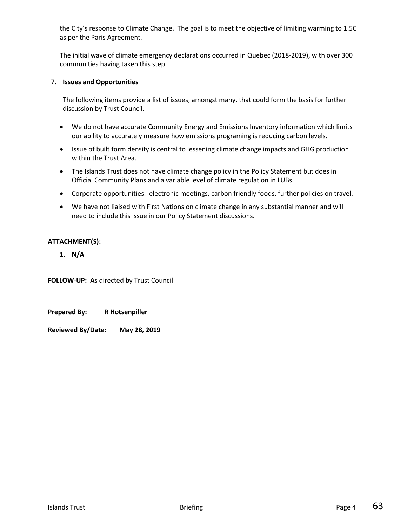the City's response to Climate Change. The goal is to meet the objective of limiting warming to 1.5C as per the Paris Agreement.

The initial wave of climate emergency declarations occurred in Quebec (2018-2019), with over 300 communities having taken this step.

## 7. **Issues and Opportunities**

The following items provide a list of issues, amongst many, that could form the basis for further discussion by Trust Council.

- We do not have accurate Community Energy and Emissions Inventory information which limits our ability to accurately measure how emissions programing is reducing carbon levels.
- Issue of built form density is central to lessening climate change impacts and GHG production within the Trust Area.
- The Islands Trust does not have climate change policy in the Policy Statement but does in Official Community Plans and a variable level of climate regulation in LUBs.
- Corporate opportunities: electronic meetings, carbon friendly foods, further policies on travel.
- We have not liaised with First Nations on climate change in any substantial manner and will need to include this issue in our Policy Statement discussions.

#### **ATTACHMENT(S):**

**1. N/A**

**FOLLOW-UP: A**s directed by Trust Council

**Prepared By: R Hotsenpiller**

**Reviewed By/Date: May 28, 2019**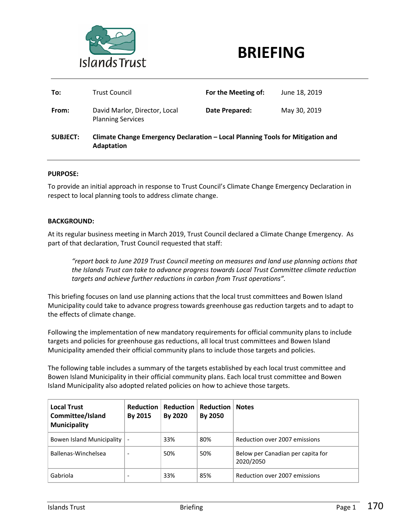

## **BRIEFING**

| To:             | <b>Trust Council</b>                                                                         | For the Meeting of: | June 18, 2019 |  |  |  |
|-----------------|----------------------------------------------------------------------------------------------|---------------------|---------------|--|--|--|
| From:           | David Marlor, Director, Local<br><b>Planning Services</b>                                    | Date Prepared:      | May 30, 2019  |  |  |  |
| <b>SUBJECT:</b> | Climate Change Emergency Declaration - Local Planning Tools for Mitigation and<br>Adaptation |                     |               |  |  |  |

#### **PURPOSE:**

To provide an initial approach in response to Trust Council's Climate Change Emergency Declaration in respect to local planning tools to address climate change.

#### **BACKGROUND:**

At its regular business meeting in March 2019, Trust Council declared a Climate Change Emergency. As part of that declaration, Trust Council requested that staff:

*"report back to June 2019 Trust Council meeting on measures and land use planning actions that the Islands Trust can take to advance progress towards Local Trust Committee climate reduction targets and achieve further reductions in carbon from Trust operations".*

This briefing focuses on land use planning actions that the local trust committees and Bowen Island Municipality could take to advance progress towards greenhouse gas reduction targets and to adapt to the effects of climate change.

Following the implementation of new mandatory requirements for official community plans to include targets and policies for greenhouse gas reductions, all local trust committees and Bowen Island Municipality amended their official community plans to include those targets and policies.

The following table includes a summary of the targets established by each local trust committee and Bowen Island Municipality in their official community plans. Each local trust committee and Bowen Island Municipality also adopted related policies on how to achieve those targets.

| <b>Local Trust</b><br>Committee/Island<br><b>Municipality</b> | <b>Reduction</b><br>By 2015 | Reduction L<br>By 2020 | <b>Reduction</b><br>By 2050 | <b>Notes</b>                                   |
|---------------------------------------------------------------|-----------------------------|------------------------|-----------------------------|------------------------------------------------|
| Bowen Island Municipality                                     | $\overline{\phantom{a}}$    | 33%                    | 80%                         | Reduction over 2007 emissions                  |
| Ballenas-Winchelsea                                           | $\overline{\phantom{a}}$    | 50%                    | 50%                         | Below per Canadian per capita for<br>2020/2050 |
| Gabriola                                                      |                             | 33%                    | 85%                         | Reduction over 2007 emissions                  |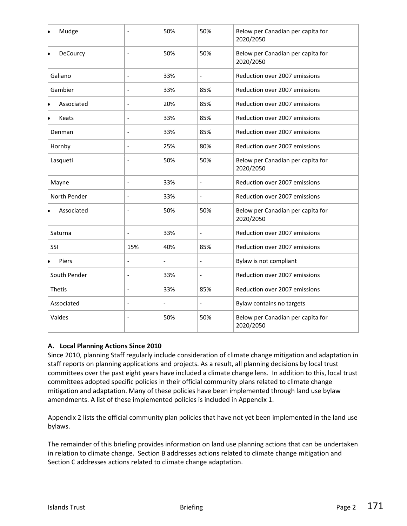| Mudge         |                              | 50%                      | 50%                      | Below per Canadian per capita for<br>2020/2050 |
|---------------|------------------------------|--------------------------|--------------------------|------------------------------------------------|
| DeCourcy<br>b |                              | 50%                      | 50%                      | Below per Canadian per capita for<br>2020/2050 |
| Galiano       | $\overline{\phantom{0}}$     | 33%                      | $\overline{\phantom{a}}$ | Reduction over 2007 emissions                  |
| Gambier       | $\overline{a}$               | 33%                      | 85%                      | Reduction over 2007 emissions                  |
| Associated    | $\overline{a}$               | 20%                      | 85%                      | Reduction over 2007 emissions                  |
| Keats         |                              | 33%                      | 85%                      | Reduction over 2007 emissions                  |
| Denman        | $\qquad \qquad \blacksquare$ | 33%                      | 85%                      | Reduction over 2007 emissions                  |
| Hornby        |                              | 25%                      | 80%                      | Reduction over 2007 emissions                  |
| Lasqueti      |                              | 50%                      | 50%                      | Below per Canadian per capita for<br>2020/2050 |
| Mayne         | $\overline{a}$               | 33%                      | $\blacksquare$           | Reduction over 2007 emissions                  |
| North Pender  | $\overline{a}$               | 33%                      | $\overline{a}$           | Reduction over 2007 emissions                  |
| Associated    | $\overline{a}$               | 50%                      | 50%                      | Below per Canadian per capita for<br>2020/2050 |
| Saturna       |                              | 33%                      |                          | Reduction over 2007 emissions                  |
| SSI           | 15%                          | 40%                      | 85%                      | Reduction over 2007 emissions                  |
| Piers         | $\overline{a}$               | $\overline{\phantom{a}}$ | $\overline{a}$           | Bylaw is not compliant                         |
| South Pender  | $\overline{a}$               | 33%                      | $\overline{\phantom{a}}$ | Reduction over 2007 emissions                  |
| <b>Thetis</b> | $\overline{a}$               | 33%                      | 85%                      | Reduction over 2007 emissions                  |
| Associated    | $\overline{a}$               | $\overline{\phantom{a}}$ |                          | Bylaw contains no targets                      |
| Valdes        | $\overline{a}$               | 50%                      | 50%                      | Below per Canadian per capita for<br>2020/2050 |

## **A. Local Planning Actions Since 2010**

Since 2010, planning Staff regularly include consideration of climate change mitigation and adaptation in staff reports on planning applications and projects. As a result, all planning decisions by local trust committees over the past eight years have included a climate change lens. In addition to this, local trust committees adopted specific policies in their official community plans related to climate change mitigation and adaptation. Many of these policies have been implemented through land use bylaw amendments. A list of these implemented policies is included in Appendix 1.

Appendix 2 lists the official community plan policies that have not yet been implemented in the land use bylaws.

The remainder of this briefing provides information on land use planning actions that can be undertaken in relation to climate change. Section B addresses actions related to climate change mitigation and Section C addresses actions related to climate change adaptation.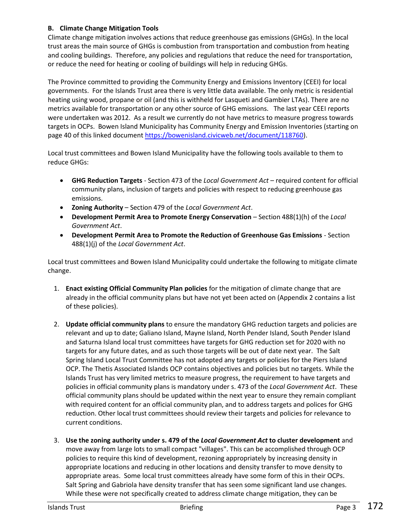## **B. Climate Change Mitigation Tools**

Climate change mitigation involves actions that reduce greenhouse gas emissions (GHGs). In the local trust areas the main source of GHGs is combustion from transportation and combustion from heating and cooling buildings. Therefore, any policies and regulations that reduce the need for transportation, or reduce the need for heating or cooling of buildings will help in reducing GHGs.

The Province committed to providing the Community Energy and Emissions Inventory (CEEI) for local governments. For the Islands Trust area there is very little data available. The only metric is residential heating using wood, propane or oil (and this is withheld for Lasqueti and Gambier LTAs). There are no metrics available for transportation or any other source of GHG emissions. The last year CEEI reports were undertaken was 2012. As a result we currently do not have metrics to measure progress towards targets in OCPs. Bowen Island Municipality has Community Energy and Emission Inventories (starting on page 40 of this linked document [https://bowenisland.civicweb.net/document/118760\)](https://bowenisland.civicweb.net/document/118760).

Local trust committees and Bowen Island Municipality have the following tools available to them to reduce GHGs:

- **GHG Reduction Targets** Section 473 of the *Local Government Act* required content for official community plans, inclusion of targets and policies with respect to reducing greenhouse gas emissions.
- **Zoning Authority** Section 479 of the *Local Government Act*.
- **•** Development Permit Area to Promote Energy Conservation Section 488(1)(h) of the *Local Government Act*.
- **Development Permit Area to Promote the Reduction of Greenhouse Gas Emissions**  Section 488(1)(j) of the *Local Government Act*.

Local trust committees and Bowen Island Municipality could undertake the following to mitigate climate change.

- 1. **Enact existing Official Community Plan policies** for the mitigation of climate change that are already in the official community plans but have not yet been acted on (Appendix 2 contains a list of these policies).
- 2. **Update official community plans** to ensure the mandatory GHG reduction targets and policies are relevant and up to date; Galiano Island, Mayne Island, North Pender Island, South Pender Island and Saturna Island local trust committees have targets for GHG reduction set for 2020 with no targets for any future dates, and as such those targets will be out of date next year. The Salt Spring Island Local Trust Committee has not adopted any targets or policies for the Piers Island OCP. The Thetis Associated Islands OCP contains objectives and policies but no targets. While the Islands Trust has very limited metrics to measure progress, the requirement to have targets and policies in official community plans is mandatory under s. 473 of the *Local Government Act*. These official community plans should be updated within the next year to ensure they remain compliant with required content for an official community plan, and to address targets and polices for GHG reduction. Other local trust committees should review their targets and policies for relevance to current conditions.
- 3. **Use the zoning authority under s. 479 of the** *Local Government Act* **to cluster development** and move away from large lots to small compact "villages". This can be accomplished through OCP policies to require this kind of development, rezoning appropriately by increasing density in appropriate locations and reducing in other locations and density transfer to move density to appropriate areas. Some local trust committees already have some form of this in their OCPs. Salt Spring and Gabriola have density transfer that has seen some significant land use changes. While these were not specifically created to address climate change mitigation, they can be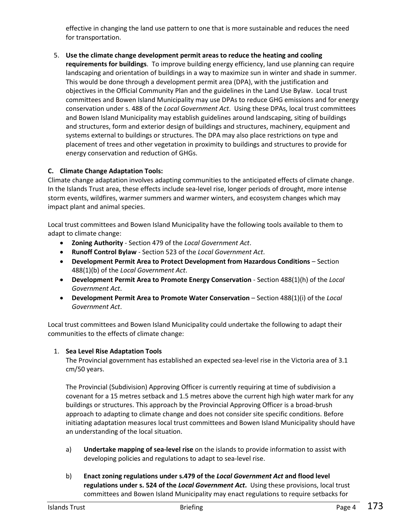effective in changing the land use pattern to one that is more sustainable and reduces the need for transportation.

5. **Use the climate change development permit areas to reduce the heating and cooling requirements for buildings**. To improve building energy efficiency, land use planning can require landscaping and orientation of buildings in a way to maximize sun in winter and shade in summer. This would be done through a development permit area (DPA), with the justification and objectives in the Official Community Plan and the guidelines in the Land Use Bylaw. Local trust committees and Bowen Island Municipality may use DPAs to reduce GHG emissions and for energy conservation under s. 488 of the *Local Government Act*. Using these DPAs, local trust committees and Bowen Island Municipality may establish guidelines around landscaping, siting of buildings and structures, form and exterior design of buildings and structures, machinery, equipment and systems external to buildings or structures. The DPA may also place restrictions on type and placement of trees and other vegetation in proximity to buildings and structures to provide for energy conservation and reduction of GHGs.

## **C. Climate Change Adaptation Tools:**

Climate change adaptation involves adapting communities to the anticipated effects of climate change. In the Islands Trust area, these effects include sea-level rise, longer periods of drought, more intense storm events, wildfires, warmer summers and warmer winters, and ecosystem changes which may impact plant and animal species.

Local trust committees and Bowen Island Municipality have the following tools available to them to adapt to climate change:

- **Zoning Authority** Section 479 of the *Local Government Act*.
- **Runoff Control Bylaw** Section 523 of the *Local Government Act*.
- **Development Permit Area to Protect Development from Hazardous Conditions** Section 488(1)(b) of the *Local Government Act*.
- **Development Permit Area to Promote Energy Conservation**  Section 488(1)(h) of the *Local Government Act*.
- **Development Permit Area to Promote Water Conservation Section 488(1)(i) of the** *Local Government Act*.

Local trust committees and Bowen Island Municipality could undertake the following to adapt their communities to the effects of climate change:

## 1. **Sea Level Rise Adaptation Tools**

The Provincial government has established an expected sea-level rise in the Victoria area of 3.1 cm/50 years.

The Provincial (Subdivision) Approving Officer is currently requiring at time of subdivision a covenant for a 15 metres setback and 1.5 metres above the current high high water mark for any buildings or structures. This approach by the Provincial Approving Officer is a broad-brush approach to adapting to climate change and does not consider site specific conditions. Before initiating adaptation measures local trust committees and Bowen Island Municipality should have an understanding of the local situation.

- a) **Undertake mapping of sea-level rise** on the islands to provide information to assist with developing policies and regulations to adapt to sea-level rise.
- b) **Enact zoning regulations under s.479 of the** *Local Government Act* **and flood level regulations under s. 524 of the** *Local Government Act***.** Using these provisions, local trust committees and Bowen Island Municipality may enact regulations to require setbacks for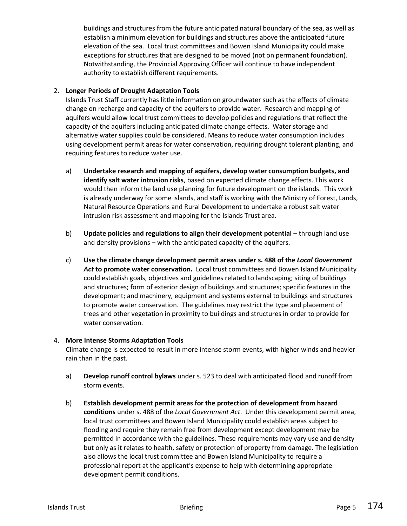buildings and structures from the future anticipated natural boundary of the sea, as well as establish a minimum elevation for buildings and structures above the anticipated future elevation of the sea. Local trust committees and Bowen Island Municipality could make exceptions for structures that are designed to be moved (not on permanent foundation). Notwithstanding, the Provincial Approving Officer will continue to have independent authority to establish different requirements.

## 2. **Longer Periods of Drought Adaptation Tools**

Islands Trust Staff currently has little information on groundwater such as the effects of climate change on recharge and capacity of the aquifers to provide water. Research and mapping of aquifers would allow local trust committees to develop policies and regulations that reflect the capacity of the aquifers including anticipated climate change effects. Water storage and alternative water supplies could be considered. Means to reduce water consumption includes using development permit areas for water conservation, requiring drought tolerant planting, and requiring features to reduce water use.

- a) **Undertake research and mapping of aquifers, develop water consumption budgets, and identify salt water intrusion risks**, based on expected climate change effects. This work would then inform the land use planning for future development on the islands. This work is already underway for some islands, and staff is working with the Ministry of Forest, Lands, Natural Resource Operations and Rural Development to undertake a robust salt water intrusion risk assessment and mapping for the Islands Trust area.
- b) **Update policies and regulations to align their development potential** through land use and density provisions – with the anticipated capacity of the aquifers.
- c) **Use the climate change development permit areas under s. 488 of the** *Local Government Act* **to promote water conservation.** Local trust committees and Bowen Island Municipality could establish goals, objectives and guidelines related to landscaping; siting of buildings and structures; form of exterior design of buildings and structures; specific features in the development; and machinery, equipment and systems external to buildings and structures to promote water conservation. The guidelines may restrict the type and placement of trees and other vegetation in proximity to buildings and structures in order to provide for water conservation.

#### 4. **More Intense Storms Adaptation Tools**

Climate change is expected to result in more intense storm events, with higher winds and heavier rain than in the past.

- a) **Develop runoff control bylaws** under s. 523 to deal with anticipated flood and runoff from storm events.
- b) **Establish development permit areas for the protection of development from hazard conditions** under s. 488 of the *Local Government Act*. Under this development permit area, local trust committees and Bowen Island Municipality could establish areas subject to flooding and require they remain free from development except development may be permitted in accordance with the guidelines. These requirements may vary use and density but only as it relates to health, safety or protection of property from damage. The legislation also allows the local trust committee and Bowen Island Municipality to require a professional report at the applicant's expense to help with determining appropriate development permit conditions.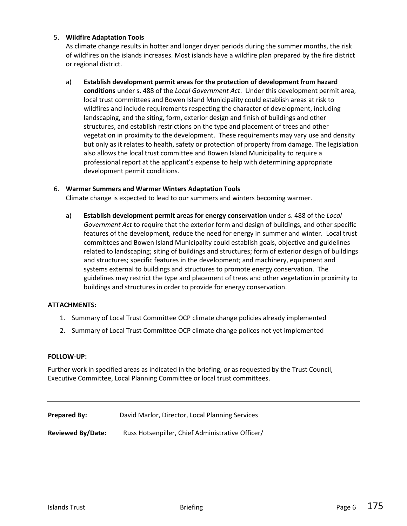## 5. **Wildfire Adaptation Tools**

As climate change results in hotter and longer dryer periods during the summer months, the risk of wildfires on the islands increases. Most islands have a wildfire plan prepared by the fire district or regional district.

## a) **Establish development permit areas for the protection of development from hazard**

**conditions** under s. 488 of the *Local Government Act*. Under this development permit area, local trust committees and Bowen Island Municipality could establish areas at risk to wildfires and include requirements respecting the character of development, including landscaping, and the siting, form, exterior design and finish of buildings and other structures, and establish restrictions on the type and placement of trees and other vegetation in proximity to the development. These requirements may vary use and density but only as it relates to health, safety or protection of property from damage. The legislation also allows the local trust committee and Bowen Island Municipality to require a professional report at the applicant's expense to help with determining appropriate development permit conditions.

#### 6. **Warmer Summers and Warmer Winters Adaptation Tools**

Climate change is expected to lead to our summers and winters becoming warmer.

a) **Establish development permit areas for energy conservation** under s. 488 of the *Local Government Act* to require that the exterior form and design of buildings, and other specific features of the development, reduce the need for energy in summer and winter. Local trust committees and Bowen Island Municipality could establish goals, objective and guidelines related to landscaping; siting of buildings and structures; form of exterior design of buildings and structures; specific features in the development; and machinery, equipment and systems external to buildings and structures to promote energy conservation. The guidelines may restrict the type and placement of trees and other vegetation in proximity to buildings and structures in order to provide for energy conservation.

#### **ATTACHMENTS:**

- 1. Summary of Local Trust Committee OCP climate change policies already implemented
- 2. Summary of Local Trust Committee OCP climate change polices not yet implemented

#### **FOLLOW-UP:**

Further work in specified areas as indicated in the briefing, or as requested by the Trust Council, Executive Committee, Local Planning Committee or local trust committees.

**Prepared By:** David Marlor, Director, Local Planning Services

**Reviewed By/Date:** Russ Hotsenpiller, Chief Administrative Officer/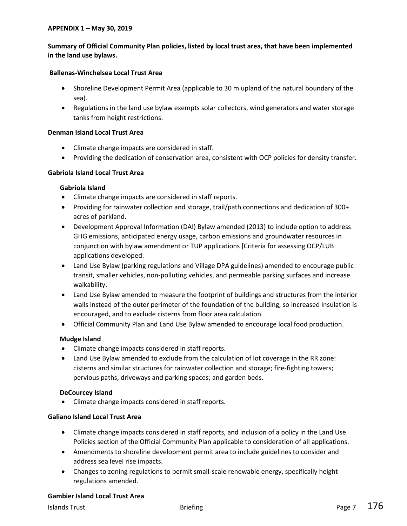#### **APPENDIX 1 – May 30, 2019**

## **Summary of Official Community Plan policies, listed by local trust area, that have been implemented in the land use bylaws.**

#### **Ballenas-Winchelsea Local Trust Area**

- Shoreline Development Permit Area (applicable to 30 m upland of the natural boundary of the sea).
- Regulations in the land use bylaw exempts solar collectors, wind generators and water storage tanks from height restrictions.

#### **Denman Island Local Trust Area**

- Climate change impacts are considered in staff.
- Providing the dedication of conservation area, consistent with OCP policies for density transfer.

#### **Gabriola Island Local Trust Area**

#### **Gabriola Island**

- Climate change impacts are considered in staff reports.
- Providing for rainwater collection and storage, trail/path connections and dedication of 300+ acres of parkland.
- Development Approval Information (DAI) Bylaw amended (2013) to include option to address GHG emissions, anticipated energy usage, carbon emissions and groundwater resources in conjunction with bylaw amendment or TUP applications [Criteria for assessing OCP/LUB applications developed.
- Land Use Bylaw (parking regulations and Village DPA guidelines) amended to encourage public transit, smaller vehicles, non-polluting vehicles, and permeable parking surfaces and increase walkability.
- Land Use Bylaw amended to measure the footprint of buildings and structures from the interior walls instead of the outer perimeter of the foundation of the building, so increased insulation is encouraged, and to exclude cisterns from floor area calculation.
- Official Community Plan and Land Use Bylaw amended to encourage local food production.

#### **Mudge Island**

- Climate change impacts considered in staff reports.
- Land Use Bylaw amended to exclude from the calculation of lot coverage in the RR zone: cisterns and similar structures for rainwater collection and storage; fire-fighting towers; pervious paths, driveways and parking spaces; and garden beds.

#### **DeCourcey Island**

Climate change impacts considered in staff reports.

#### **Galiano Island Local Trust Area**

- Climate change impacts considered in staff reports, and inclusion of a policy in the Land Use Policies section of the Official Community Plan applicable to consideration of all applications.
- Amendments to shoreline development permit area to include guidelines to consider and address sea level rise impacts.
- Changes to zoning regulations to permit small-scale renewable energy, specifically height regulations amended.

#### **Gambier Island Local Trust Area**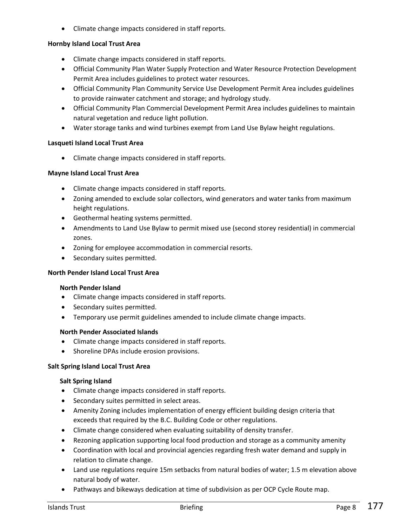Climate change impacts considered in staff reports.

## **Hornby Island Local Trust Area**

- Climate change impacts considered in staff reports.
- Official Community Plan Water Supply Protection and Water Resource Protection Development Permit Area includes guidelines to protect water resources.
- Official Community Plan Community Service Use Development Permit Area includes guidelines to provide rainwater catchment and storage; and hydrology study.
- Official Community Plan Commercial Development Permit Area includes guidelines to maintain natural vegetation and reduce light pollution.
- Water storage tanks and wind turbines exempt from Land Use Bylaw height regulations.

## **Lasqueti Island Local Trust Area**

Climate change impacts considered in staff reports.

## **Mayne Island Local Trust Area**

- Climate change impacts considered in staff reports.
- Zoning amended to exclude solar collectors, wind generators and water tanks from maximum height regulations.
- Geothermal heating systems permitted.
- Amendments to Land Use Bylaw to permit mixed use (second storey residential) in commercial zones.
- Zoning for employee accommodation in commercial resorts.
- Secondary suites permitted.

## **North Pender Island Local Trust Area**

#### **North Pender Island**

- Climate change impacts considered in staff reports.
- Secondary suites permitted.
- Temporary use permit guidelines amended to include climate change impacts.

## **North Pender Associated Islands**

- Climate change impacts considered in staff reports.
- Shoreline DPAs include erosion provisions.

## **Salt Spring Island Local Trust Area**

#### **Salt Spring Island**

- Climate change impacts considered in staff reports.
- Secondary suites permitted in select areas.
- Amenity Zoning includes implementation of energy efficient building design criteria that exceeds that required by the B.C. Building Code or other regulations.
- Climate change considered when evaluating suitability of density transfer.
- Rezoning application supporting local food production and storage as a community amenity
- Coordination with local and provincial agencies regarding fresh water demand and supply in relation to climate change.
- Land use regulations require 15m setbacks from natural bodies of water; 1.5 m elevation above natural body of water.
- Pathways and bikeways dedication at time of subdivision as per OCP Cycle Route map.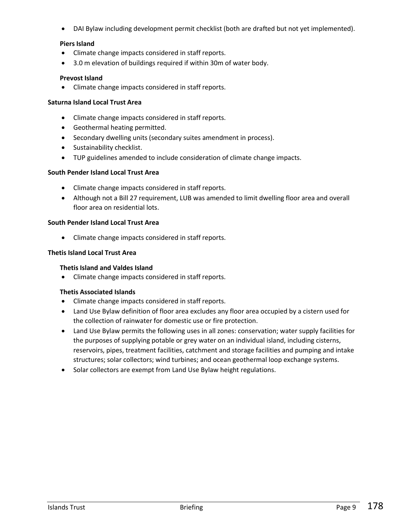DAI Bylaw including development permit checklist (both are drafted but not yet implemented).

## **Piers Island**

- Climate change impacts considered in staff reports.
- 3.0 m elevation of buildings required if within 30m of water body.

#### **Prevost Island**

Climate change impacts considered in staff reports.

#### **Saturna Island Local Trust Area**

- Climate change impacts considered in staff reports.
- Geothermal heating permitted.
- Secondary dwelling units (secondary suites amendment in process).
- Sustainability checklist.
- TUP guidelines amended to include consideration of climate change impacts.

#### **South Pender Island Local Trust Area**

- Climate change impacts considered in staff reports.
- Although not a Bill 27 requirement, LUB was amended to limit dwelling floor area and overall floor area on residential lots.

#### **South Pender Island Local Trust Area**

Climate change impacts considered in staff reports.

#### **Thetis Island Local Trust Area**

#### **Thetis Island and Valdes Island**

Climate change impacts considered in staff reports.

#### **Thetis Associated Islands**

- Climate change impacts considered in staff reports.
- Land Use Bylaw definition of floor area excludes any floor area occupied by a cistern used for the collection of rainwater for domestic use or fire protection.
- Land Use Bylaw permits the following uses in all zones: conservation; water supply facilities for the purposes of supplying potable or grey water on an individual island, including cisterns, reservoirs, pipes, treatment facilities, catchment and storage facilities and pumping and intake structures; solar collectors; wind turbines; and ocean geothermal loop exchange systems.
- Solar collectors are exempt from Land Use Bylaw height regulations.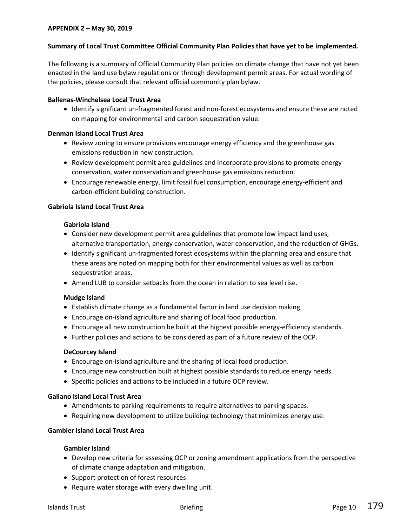#### **Summary of Local Trust Committee Official Community Plan Policies that have yet to be implemented.**

The following is a summary of Official Community Plan policies on climate change that have not yet been enacted in the land use bylaw regulations or through development permit areas. For actual wording of the policies, please consult that relevant official community plan bylaw.

#### **Ballenas-Winchelsea Local Trust Area**

 Identify significant un-fragmented forest and non-forest ecosystems and ensure these are noted on mapping for environmental and carbon sequestration value.

#### **Denman Island Local Trust Area**

- Review zoning to ensure provisions encourage energy efficiency and the greenhouse gas emissions reduction in new construction.
- Review development permit area guidelines and incorporate provisions to promote energy conservation, water conservation and greenhouse gas emissions reduction.
- Encourage renewable energy, limit fossil fuel consumption, encourage energy-efficient and carbon-efficient building construction.

#### **Gabriola Island Local Trust Area**

#### **Gabriola Island**

- Consider new development permit area guidelines that promote low impact land uses, alternative transportation, energy conservation, water conservation, and the reduction of GHGs.
- Identify significant un-fragmented forest ecosystems within the planning area and ensure that these areas are noted on mapping both for their environmental values as well as carbon sequestration areas.
- Amend LUB to consider setbacks from the ocean in relation to sea level rise.

#### **Mudge Island**

- Establish climate change as a fundamental factor in land use decision making.
- Encourage on-island agriculture and sharing of local food production.
- Encourage all new construction be built at the highest possible energy-efficiency standards.
- Further policies and actions to be considered as part of a future review of the OCP.

#### **DeCourcey Island**

- Encourage on-island agriculture and the sharing of local food production.
- Encourage new construction built at highest possible standards to reduce energy needs.
- Specific policies and actions to be included in a future OCP review.

#### **Galiano Island Local Trust Area**

- Amendments to parking requirements to require alternatives to parking spaces.
- Requiring new development to utilize building technology that minimizes energy use.

## **Gambier Island Local Trust Area**

#### **Gambier Island**

- Develop new criteria for assessing OCP or zoning amendment applications from the perspective of climate change adaptation and mitigation.
- Support protection of forest resources.
- Require water storage with every dwelling unit.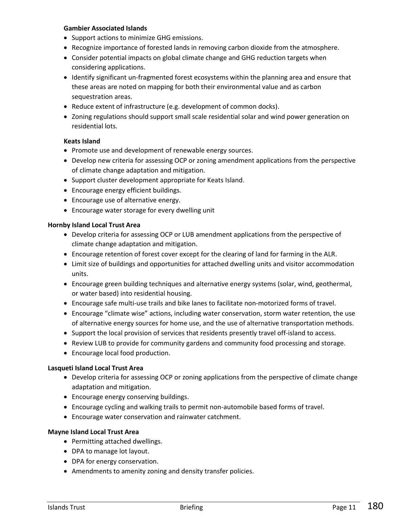#### **Gambier Associated Islands**

- Support actions to minimize GHG emissions.
- Recognize importance of forested lands in removing carbon dioxide from the atmosphere.
- Consider potential impacts on global climate change and GHG reduction targets when considering applications.
- Identify significant un-fragmented forest ecosystems within the planning area and ensure that these areas are noted on mapping for both their environmental value and as carbon sequestration areas.
- Reduce extent of infrastructure (e.g. development of common docks).
- Zoning regulations should support small scale residential solar and wind power generation on residential lots.

## **Keats Island**

- Promote use and development of renewable energy sources.
- Develop new criteria for assessing OCP or zoning amendment applications from the perspective of climate change adaptation and mitigation.
- Support cluster development appropriate for Keats Island.
- Encourage energy efficient buildings.
- Encourage use of alternative energy.
- Encourage water storage for every dwelling unit

#### **Hornby Island Local Trust Area**

- Develop criteria for assessing OCP or LUB amendment applications from the perspective of climate change adaptation and mitigation.
- Encourage retention of forest cover except for the clearing of land for farming in the ALR.
- Limit size of buildings and opportunities for attached dwelling units and visitor accommodation units.
- Encourage green building techniques and alternative energy systems (solar, wind, geothermal, or water based) into residential housing.
- Encourage safe multi-use trails and bike lanes to facilitate non-motorized forms of travel.
- Encourage "climate wise" actions, including water conservation, storm water retention, the use of alternative energy sources for home use, and the use of alternative transportation methods.
- Support the local provision of services that residents presently travel off-island to access.
- Review LUB to provide for community gardens and community food processing and storage.
- Encourage local food production.

#### **Lasqueti Island Local Trust Area**

- Develop criteria for assessing OCP or zoning applications from the perspective of climate change adaptation and mitigation.
- Encourage energy conserving buildings.
- Encourage cycling and walking trails to permit non-automobile based forms of travel.
- Encourage water conservation and rainwater catchment.

#### **Mayne Island Local Trust Area**

- Permitting attached dwellings.
- DPA to manage lot layout.
- DPA for energy conservation.
- Amendments to amenity zoning and density transfer policies.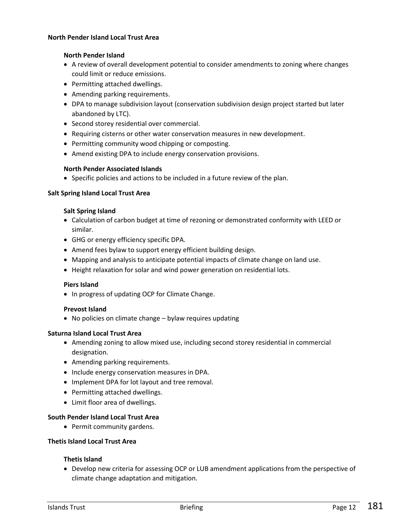#### **North Pender Island Local Trust Area**

## **North Pender Island**

- A review of overall development potential to consider amendments to zoning where changes could limit or reduce emissions.
- Permitting attached dwellings.
- Amending parking requirements.
- DPA to manage subdivision layout (conservation subdivision design project started but later abandoned by LTC).
- Second storey residential over commercial.
- Requiring cisterns or other water conservation measures in new development.
- Permitting community wood chipping or composting.
- Amend existing DPA to include energy conservation provisions.

#### **North Pender Associated Islands**

Specific policies and actions to be included in a future review of the plan.

#### **Salt Spring Island Local Trust Area**

#### **Salt Spring Island**

- Calculation of carbon budget at time of rezoning or demonstrated conformity with LEED or similar.
- GHG or energy efficiency specific DPA.
- Amend fees bylaw to support energy efficient building design.
- Mapping and analysis to anticipate potential impacts of climate change on land use.
- Height relaxation for solar and wind power generation on residential lots.

#### **Piers Island**

• In progress of updating OCP for Climate Change.

#### **Prevost Island**

No policies on climate change – bylaw requires updating

#### **Saturna Island Local Trust Area**

- Amending zoning to allow mixed use, including second storey residential in commercial designation.
- Amending parking requirements.
- Include energy conservation measures in DPA.
- Implement DPA for lot layout and tree removal.
- Permitting attached dwellings.
- Limit floor area of dwellings.

#### **South Pender Island Local Trust Area**

• Permit community gardens.

#### **Thetis Island Local Trust Area**

#### **Thetis Island**

 Develop new criteria for assessing OCP or LUB amendment applications from the perspective of climate change adaptation and mitigation.